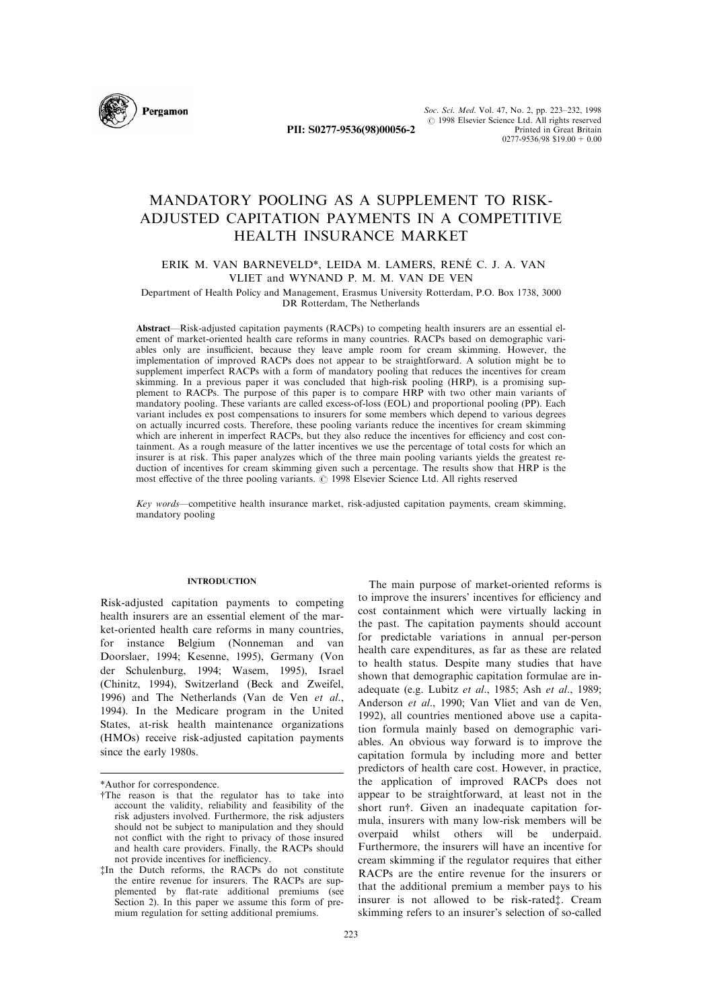

PII: S0277-9536(98)00056-2

Soc. Sci. Med. Vol. 47, No. 2, pp. 223-232, 1998  $© 1998 Elsevier Science Ltd. All rights reserved$ Printed in Great Britain  $0277-9536/98$  \$19.00 + 0.00

# MANDATORY POOLING AS A SUPPLEMENT TO RISK-ADJUSTED CAPITATION PAYMENTS IN A COMPETITIVE HEALTH INSURANCE MARKET

## ERIK M. VAN BARNEVELD\*, LEIDA M. LAMERS, RENÉ C. J. A. VAN VLIET and WYNAND P. M. M. VAN DE VEN

## Department of Health Policy and Management, Erasmus University Rotterdam, P.O. Box 1738, 3000 DR Rotterdam, The Netherlands

Abstract—Risk-adjusted capitation payments (RACPs) to competing health insurers are an essential element of market-oriented health care reforms in many countries. RACPs based on demographic variables only are insufficient, because they leave ample room for cream skimming. However, the implementation of improved RACPs does not appear to be straightforward. A solution might be to supplement imperfect RACPs with a form of mandatory pooling that reduces the incentives for cream skimming. In a previous paper it was concluded that high-risk pooling (HRP), is a promising supplement to RACPs. The purpose of this paper is to compare HRP with two other main variants of mandatory pooling. These variants are called excess-of-loss (EOL) and proportional pooling (PP). Each variant includes ex post compensations to insurers for some members which depend to various degrees on actually incurred costs. Therefore, these pooling variants reduce the incentives for cream skimming which are inherent in imperfect RACPs, but they also reduce the incentives for efficiency and cost containment. As a rough measure of the latter incentives we use the percentage of total costs for which an insurer is at risk. This paper analyzes which of the three main pooling variants yields the greatest reduction of incentives for cream skimming given such a percentage. The results show that HRP is the most effective of the three pooling variants.  $\odot$  1998 Elsevier Science Ltd. All rights reserved

Key words—competitive health insurance market, risk-adjusted capitation payments, cream skimming, mandatory pooling

## INTRODUCTION

Risk-adjusted capitation payments to competing health insurers are an essential element of the market-oriented health care reforms in many countries, for instance Belgium (Nonneman and van Doorslaer, 1994; Kesenne, 1995), Germany (Von der Schulenburg, 1994; Wasem, 1995), Israel (Chinitz, 1994), Switzerland (Beck and Zweifel, 1996) and The Netherlands (Van de Ven et al., 1994). In the Medicare program in the United States, at-risk health maintenance organizations (HMOs) receive risk-adjusted capitation payments since the early 1980s.

The main purpose of market-oriented reforms is to improve the insurers' incentives for efficiency and cost containment which were virtually lacking in the past. The capitation payments should account for predictable variations in annual per-person health care expenditures, as far as these are related to health status. Despite many studies that have shown that demographic capitation formulae are inadequate (e.g. Lubitz et al., 1985; Ash et al., 1989; Anderson et al., 1990: Van Vliet and van de Ven, 1992), all countries mentioned above use a capitation formula mainly based on demographic variables. An obvious way forward is to improve the capitation formula by including more and better predictors of health care cost. However, in practice, the application of improved RACPs does not appear to be straightforward, at least not in the short run<sup>†</sup>. Given an inadequate capitation formula, insurers with many low-risk members will be overpaid whilst others will be underpaid. Furthermore, the insurers will have an incentive for cream skimming if the regulator requires that either RACPs are the entire revenue for the insurers or that the additional premium a member pays to his insurer is not allowed to be risk-rated<sup>†</sup>. Cream skimming refers to an insurer's selection of so-called

<sup>\*</sup>Author for correspondence.

<sup>{</sup>The reason is that the regulator has to take into account the validity, reliability and feasibility of the risk adjusters involved. Furthermore, the risk adjusters should not be subject to manipulation and they should not conflict with the right to privacy of those insured and health care providers. Finally, the RACPs should not provide incentives for inefficiency.

<sup>{</sup>In the Dutch reforms, the RACPs do not constitute the entire revenue for insurers. The RACPs are supplemented by flat-rate additional premiums (see Section 2). In this paper we assume this form of premium regulation for setting additional premiums.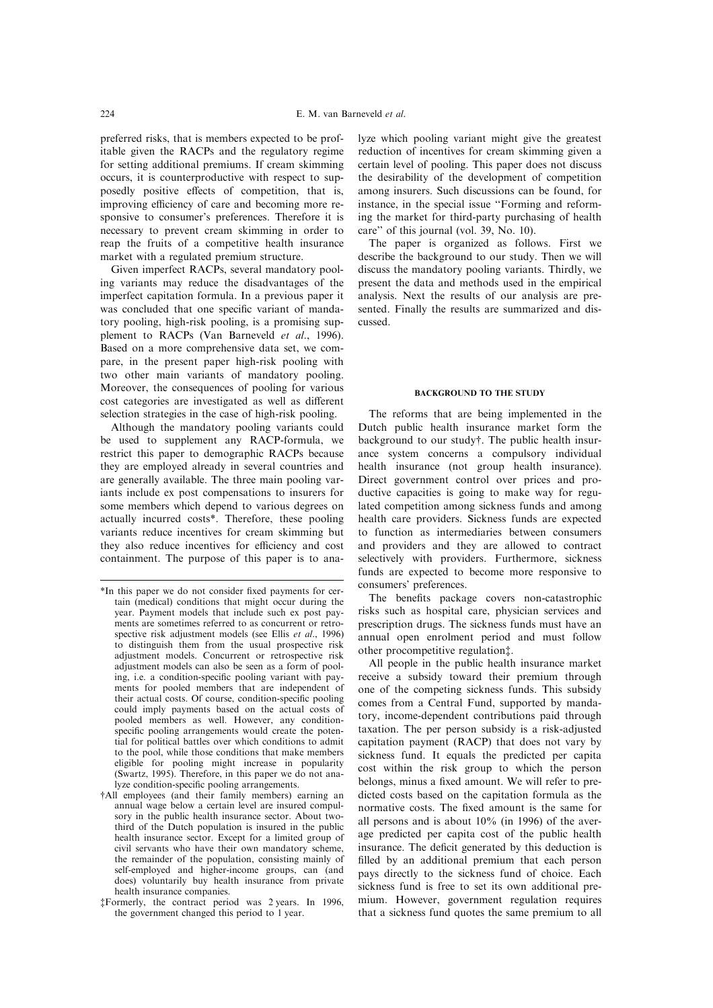preferred risks, that is members expected to be profitable given the RACPs and the regulatory regime for setting additional premiums. If cream skimming occurs, it is counterproductive with respect to supposedly positive effects of competition, that is, improving efficiency of care and becoming more responsive to consumer's preferences. Therefore it is necessary to prevent cream skimming in order to reap the fruits of a competitive health insurance market with a regulated premium structure.

Given imperfect RACPs, several mandatory pooling variants may reduce the disadvantages of the imperfect capitation formula. In a previous paper it was concluded that one specific variant of mandatory pooling, high-risk pooling, is a promising supplement to RACPs (Van Barneveld et al., 1996). Based on a more comprehensive data set, we compare, in the present paper high-risk pooling with two other main variants of mandatory pooling. Moreover, the consequences of pooling for various cost categories are investigated as well as different selection strategies in the case of high-risk pooling.

Although the mandatory pooling variants could be used to supplement any RACP-formula, we restrict this paper to demographic RACPs because they are employed already in several countries and are generally available. The three main pooling variants include ex post compensations to insurers for some members which depend to various degrees on actually incurred costs\*. Therefore, these pooling variants reduce incentives for cream skimming but they also reduce incentives for efficiency and cost containment. The purpose of this paper is to analyze which pooling variant might give the greatest reduction of incentives for cream skimming given a certain level of pooling. This paper does not discuss the desirability of the development of competition among insurers. Such discussions can be found, for instance, in the special issue "Forming and reforming the market for third-party purchasing of health care'' of this journal (vol. 39, No. 10).

The paper is organized as follows. First we describe the background to our study. Then we will discuss the mandatory pooling variants. Thirdly, we present the data and methods used in the empirical analysis. Next the results of our analysis are presented. Finally the results are summarized and discussed.

## BACKGROUND TO THE STUDY

The reforms that are being implemented in the Dutch public health insurance market form the background to our study†. The public health insurance system concerns a compulsory individual health insurance (not group health insurance). Direct government control over prices and productive capacities is going to make way for regulated competition among sickness funds and among health care providers. Sickness funds are expected to function as intermediaries between consumers and providers and they are allowed to contract selectively with providers. Furthermore, sickness funds are expected to become more responsive to consumers' preferences.

The benefits package covers non-catastrophic risks such as hospital care, physician services and prescription drugs. The sickness funds must have an annual open enrolment period and must follow other procompetitive regulation<sup>†</sup>.

All people in the public health insurance market receive a subsidy toward their premium through one of the competing sickness funds. This subsidy comes from a Central Fund, supported by mandatory, income-dependent contributions paid through taxation. The per person subsidy is a risk-adjusted capitation payment (RACP) that does not vary by sickness fund. It equals the predicted per capita cost within the risk group to which the person belongs, minus a fixed amount. We will refer to predicted costs based on the capitation formula as the normative costs. The fixed amount is the same for all persons and is about 10% (in 1996) of the average predicted per capita cost of the public health insurance. The deficit generated by this deduction is filled by an additional premium that each person pays directly to the sickness fund of choice. Each sickness fund is free to set its own additional premium. However, government regulation requires that a sickness fund quotes the same premium to all

<sup>\*</sup>In this paper we do not consider ®xed payments for certain (medical) conditions that might occur during the year. Payment models that include such ex post payments are sometimes referred to as concurrent or retrospective risk adjustment models (see Ellis et al., 1996) to distinguish them from the usual prospective risk adjustment models. Concurrent or retrospective risk adjustment models can also be seen as a form of pooling, i.e. a condition-specific pooling variant with payments for pooled members that are independent of their actual costs. Of course, condition-specific pooling could imply payments based on the actual costs of pooled members as well. However, any conditionspecific pooling arrangements would create the potential for political battles over which conditions to admit to the pool, while those conditions that make members eligible for pooling might increase in popularity (Swartz, 1995). Therefore, in this paper we do not analyze condition-specific pooling arrangements.

<sup>{</sup>All employees (and their family members) earning an annual wage below a certain level are insured compulsory in the public health insurance sector. About twothird of the Dutch population is insured in the public health insurance sector. Except for a limited group of civil servants who have their own mandatory scheme, the remainder of the population, consisting mainly of self-employed and higher-income groups, can (and does) voluntarily buy health insurance from private health insurance companies.

<sup>{</sup>Formerly, the contract period was 2 years. In 1996, the government changed this period to 1 year.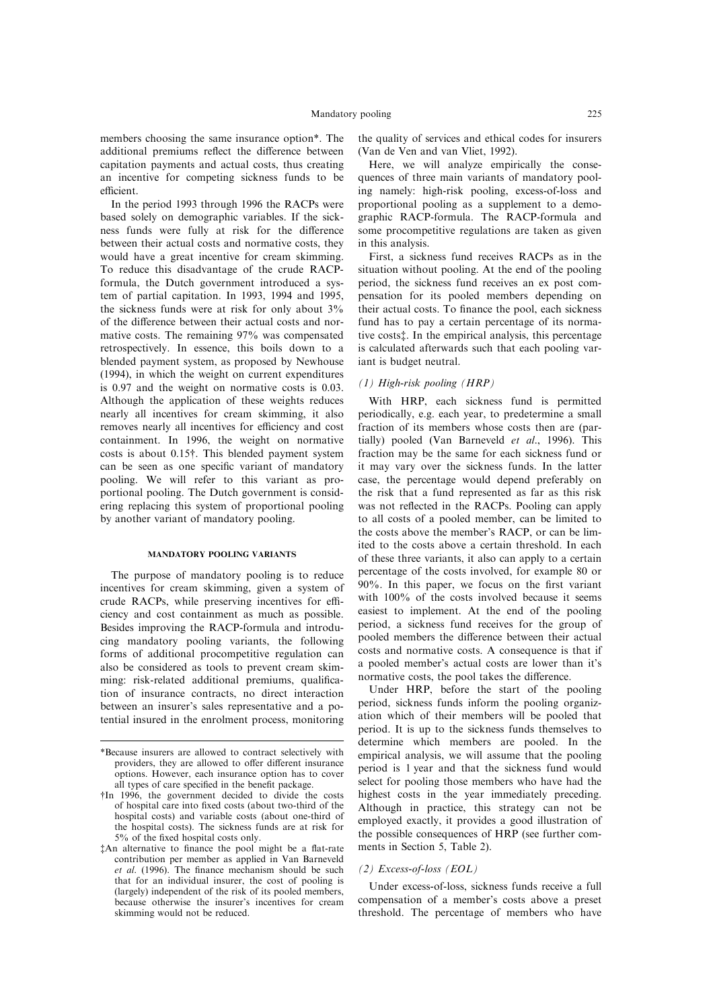members choosing the same insurance option\*. The additional premiums reflect the difference between capitation payments and actual costs, thus creating an incentive for competing sickness funds to be efficient.

In the period 1993 through 1996 the RACPs were based solely on demographic variables. If the sickness funds were fully at risk for the difference between their actual costs and normative costs, they would have a great incentive for cream skimming. To reduce this disadvantage of the crude RACPformula, the Dutch government introduced a system of partial capitation. In 1993, 1994 and 1995, the sickness funds were at risk for only about 3% of the difference between their actual costs and normative costs. The remaining 97% was compensated retrospectively. In essence, this boils down to a blended payment system, as proposed by Newhouse (1994), in which the weight on current expenditures is 0.97 and the weight on normative costs is 0.03. Although the application of these weights reduces nearly all incentives for cream skimming, it also removes nearly all incentives for efficiency and cost containment. In 1996, the weight on normative costs is about 0.15{. This blended payment system can be seen as one specific variant of mandatory pooling. We will refer to this variant as proportional pooling. The Dutch government is considering replacing this system of proportional pooling by another variant of mandatory pooling.

### MANDATORY POOLING VARIANTS

The purpose of mandatory pooling is to reduce incentives for cream skimming, given a system of crude RACPs, while preserving incentives for efficiency and cost containment as much as possible. Besides improving the RACP-formula and introducing mandatory pooling variants, the following forms of additional procompetitive regulation can also be considered as tools to prevent cream skimming: risk-related additional premiums, qualification of insurance contracts, no direct interaction between an insurer's sales representative and a potential insured in the enrolment process, monitoring the quality of services and ethical codes for insurers (Van de Ven and van Vliet, 1992).

Here, we will analyze empirically the consequences of three main variants of mandatory pooling namely: high-risk pooling, excess-of-loss and proportional pooling as a supplement to a demographic RACP-formula. The RACP-formula and some procompetitive regulations are taken as given in this analysis.

First, a sickness fund receives RACPs as in the situation without pooling. At the end of the pooling period, the sickness fund receives an ex post compensation for its pooled members depending on their actual costs. To finance the pool, each sickness fund has to pay a certain percentage of its normative costs{. In the empirical analysis, this percentage is calculated afterwards such that each pooling variant is budget neutral.

### (1) High-risk pooling (HRP)

With HRP, each sickness fund is permitted periodically, e.g. each year, to predetermine a small fraction of its members whose costs then are (partially) pooled (Van Barneveld et al., 1996). This fraction may be the same for each sickness fund or it may vary over the sickness funds. In the latter case, the percentage would depend preferably on the risk that a fund represented as far as this risk was not reflected in the RACPs. Pooling can apply to all costs of a pooled member, can be limited to the costs above the member's RACP, or can be limited to the costs above a certain threshold. In each of these three variants, it also can apply to a certain percentage of the costs involved, for example 80 or  $90\%$ . In this paper, we focus on the first variant with  $100\%$  of the costs involved because it seems easiest to implement. At the end of the pooling period, a sickness fund receives for the group of pooled members the difference between their actual costs and normative costs. A consequence is that if a pooled member's actual costs are lower than it's normative costs, the pool takes the difference.

Under HRP, before the start of the pooling period, sickness funds inform the pooling organization which of their members will be pooled that period. It is up to the sickness funds themselves to determine which members are pooled. In the empirical analysis, we will assume that the pooling period is 1 year and that the sickness fund would select for pooling those members who have had the highest costs in the year immediately preceding. Although in practice, this strategy can not be employed exactly, it provides a good illustration of the possible consequences of HRP (see further comments in Section 5, Table 2).

## (2) Excess-of-loss (EOL)

Under excess-of-loss, sickness funds receive a full compensation of a member's costs above a preset threshold. The percentage of members who have

<sup>\*</sup>Because insurers are allowed to contract selectively with providers, they are allowed to offer different insurance options. However, each insurance option has to cover all types of care specified in the benefit package.

<sup>{</sup>In 1996, the government decided to divide the costs of hospital care into fixed costs (about two-third of the hospital costs) and variable costs (about one-third of the hospital costs). The sickness funds are at risk for 5% of the fixed hospital costs only.

 $\ddagger$ An alternative to finance the pool might be a flat-rate contribution per member as applied in Van Barneveld et al.  $(1996)$ . The finance mechanism should be such that for an individual insurer, the cost of pooling is (largely) independent of the risk of its pooled members, because otherwise the insurer's incentives for cream skimming would not be reduced.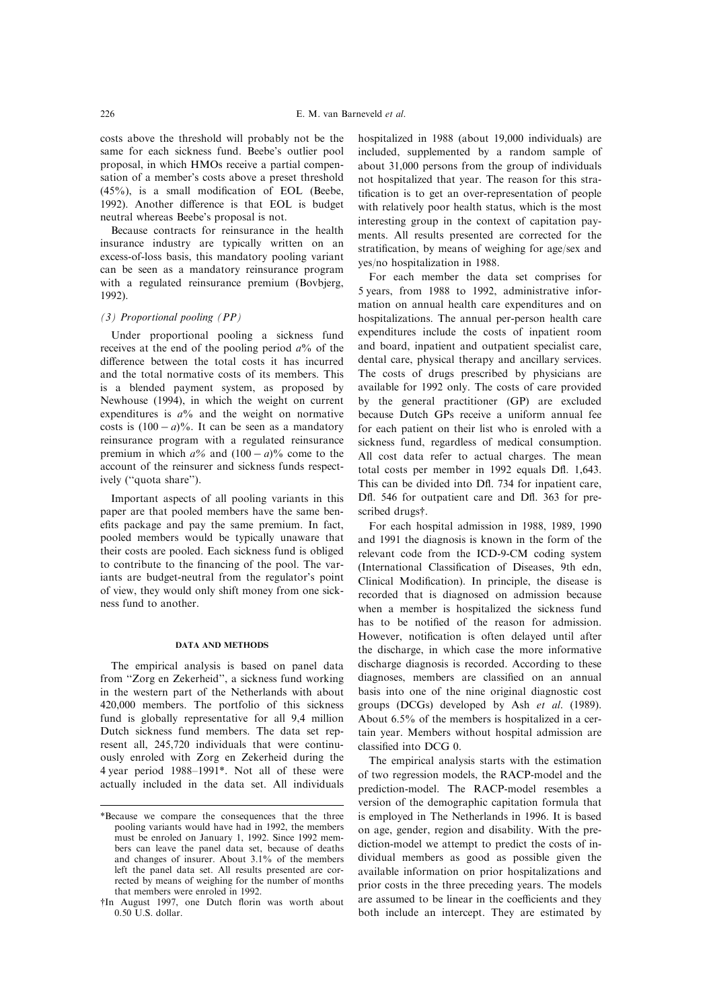costs above the threshold will probably not be the same for each sickness fund. Beebe's outlier pool proposal, in which HMOs receive a partial compensation of a member's costs above a preset threshold  $(45\%)$ , is a small modification of EOL (Beebe, 1992). Another difference is that EOL is budget neutral whereas Beebe's proposal is not.

Because contracts for reinsurance in the health insurance industry are typically written on an excess-of-loss basis, this mandatory pooling variant can be seen as a mandatory reinsurance program with a regulated reinsurance premium (Bovbjerg, 1992).

## (3) Proportional pooling (PP)

Under proportional pooling a sickness fund receives at the end of the pooling period  $a\%$  of the difference between the total costs it has incurred and the total normative costs of its members. This is a blended payment system, as proposed by Newhouse (1994), in which the weight on current expenditures is  $a\%$  and the weight on normative costs is  $(100 - a)\%$ . It can be seen as a mandatory reinsurance program with a regulated reinsurance premium in which  $a\%$  and  $(100 - a)\%$  come to the account of the reinsurer and sickness funds respectively ("quota share").

Important aspects of all pooling variants in this paper are that pooled members have the same benefits package and pay the same premium. In fact, pooled members would be typically unaware that their costs are pooled. Each sickness fund is obliged to contribute to the financing of the pool. The variants are budget-neutral from the regulator's point of view, they would only shift money from one sickness fund to another.

## DATA AND METHODS

The empirical analysis is based on panel data from "Zorg en Zekerheid", a sickness fund working in the western part of the Netherlands with about 420,000 members. The portfolio of this sickness fund is globally representative for all 9,4 million Dutch sickness fund members. The data set represent all, 245,720 individuals that were continuously enroled with Zorg en Zekerheid during the 4 year period  $1988-1991^*$ . Not all of these were actually included in the data set. All individuals hospitalized in 1988 (about 19,000 individuals) are included, supplemented by a random sample of about 31,000 persons from the group of individuals not hospitalized that year. The reason for this stratification is to get an over-representation of people with relatively poor health status, which is the most interesting group in the context of capitation payments. All results presented are corrected for the stratification, by means of weighing for age/sex and yes/no hospitalization in 1988.

For each member the data set comprises for 5 years, from 1988 to 1992, administrative information on annual health care expenditures and on hospitalizations. The annual per-person health care expenditures include the costs of inpatient room and board, inpatient and outpatient specialist care, dental care, physical therapy and ancillary services. The costs of drugs prescribed by physicians are available for 1992 only. The costs of care provided by the general practitioner (GP) are excluded because Dutch GPs receive a uniform annual fee for each patient on their list who is enroled with a sickness fund, regardless of medical consumption. All cost data refer to actual charges. The mean total costs per member in  $1992$  equals Dfl. 1,643. This can be divided into Dfl. 734 for inpatient care, Dfl. 546 for outpatient care and Dfl. 363 for prescribed drugst.

For each hospital admission in 1988, 1989, 1990 and 1991 the diagnosis is known in the form of the relevant code from the ICD-9-CM coding system (International Classification of Diseases, 9th edn, Clinical Modification). In principle, the disease is recorded that is diagnosed on admission because when a member is hospitalized the sickness fund has to be notified of the reason for admission. However, notification is often delayed until after the discharge, in which case the more informative discharge diagnosis is recorded. According to these diagnoses, members are classified on an annual basis into one of the nine original diagnostic cost groups (DCGs) developed by Ash et al. (1989). About 6.5% of the members is hospitalized in a certain year. Members without hospital admission are classified into DCG 0.

The empirical analysis starts with the estimation of two regression models, the RACP-model and the prediction-model. The RACP-model resembles a version of the demographic capitation formula that is employed in The Netherlands in 1996. It is based on age, gender, region and disability. With the prediction-model we attempt to predict the costs of individual members as good as possible given the available information on prior hospitalizations and prior costs in the three preceding years. The models are assumed to be linear in the coefficients and they both include an intercept. They are estimated by

<sup>\*</sup>Because we compare the consequences that the three pooling variants would have had in 1992, the members must be enroled on January 1, 1992. Since 1992 members can leave the panel data set, because of deaths and changes of insurer. About 3.1% of the members left the panel data set. All results presented are corrected by means of weighing for the number of months that members were enroled in 1992.

<sup>{</sup>In August 1997, one Dutch ¯orin was worth about  $0.50$  U.S. dollar.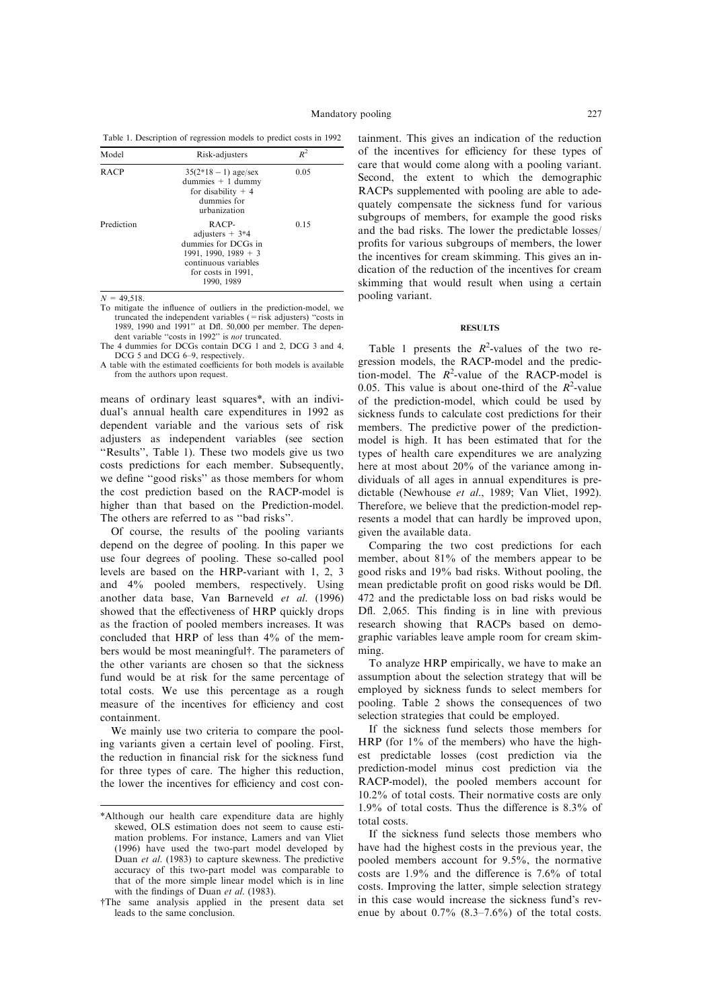Table 1. Description of regression models to predict costs in 1992

| Model       | Risk-adjusters                                                                                                                         | $R^2$ |  |
|-------------|----------------------------------------------------------------------------------------------------------------------------------------|-------|--|
| <b>RACP</b> | $35(2*18-1)$ age/sex<br>$d$ ummies + 1 $d$ ummy<br>for disability $+4$<br>dummies for<br>urbanization                                  |       |  |
| Prediction  | RACP-<br>adjusters $+3*4$<br>dummies for DCGs in<br>$1991, 1990, 1989 + 3$<br>continuous variables<br>for costs in 1991.<br>1990. 1989 | 0.15  |  |

 $N = 49,518$ 

To mitigate the influence of outliers in the prediction-model, we truncated the independent variables (= risk adjusters) "costs in 1989, 1990 and 1991" at Dfl. 50,000 per member. The dependent variable "costs in 1992" is *not* truncated.

The 4 dummies for DCGs contain DCG 1 and 2, DCG 3 and 4, DCG 5 and DCG 6-9, respectively.

A table with the estimated coefficients for both models is available from the authors upon request.

means of ordinary least squares\*, with an individual's annual health care expenditures in 1992 as dependent variable and the various sets of risk adjusters as independent variables (see section "Results", Table 1). These two models give us two costs predictions for each member. Subsequently, we define "good risks" as those members for whom the cost prediction based on the RACP-model is higher than that based on the Prediction-model. The others are referred to as "bad risks".

Of course, the results of the pooling variants depend on the degree of pooling. In this paper we use four degrees of pooling. These so-called pool levels are based on the HRP-variant with 1, 2, 3 and 4% pooled members, respectively. Using another data base, Van Barneveld et al. (1996) showed that the effectiveness of HRP quickly drops as the fraction of pooled members increases. It was concluded that HRP of less than 4% of the members would be most meaningful<sup>†</sup>. The parameters of the other variants are chosen so that the sickness fund would be at risk for the same percentage of total costs. We use this percentage as a rough measure of the incentives for efficiency and cost containment.

We mainly use two criteria to compare the pooling variants given a certain level of pooling. First, the reduction in financial risk for the sickness fund for three types of care. The higher this reduction, the lower the incentives for efficiency and cost con-

tainment. This gives an indication of the reduction of the incentives for efficiency for these types of care that would come along with a pooling variant. Second, the extent to which the demographic RACPs supplemented with pooling are able to adequately compensate the sickness fund for various subgroups of members, for example the good risks and the bad risks. The lower the predictable losses/ profits for various subgroups of members, the lower the incentives for cream skimming. This gives an indication of the reduction of the incentives for cream skimming that would result when using a certain pooling variant.

#### **RESULTS**

Table 1 presents the  $R^2$ -values of the two regression models, the RACP-model and the prediction-model. The  $R^2$ -value of the RACP-model is 0.05. This value is about one-third of the  $R^2$ -value of the prediction-model, which could be used by sickness funds to calculate cost predictions for their members. The predictive power of the predictionmodel is high. It has been estimated that for the types of health care expenditures we are analyzing here at most about 20% of the variance among individuals of all ages in annual expenditures is predictable (Newhouse et al., 1989; Van Vliet, 1992). Therefore, we believe that the prediction-model represents a model that can hardly be improved upon, given the available data.

Comparing the two cost predictions for each member, about 81% of the members appear to be good risks and 19% bad risks. Without pooling, the mean predictable profit on good risks would be Dfl. 472 and the predictable loss on bad risks would be  $Df. 2,065$ . This finding is in line with previous research showing that RACPs based on demographic variables leave ample room for cream skimming.

To analyze HRP empirically, we have to make an assumption about the selection strategy that will be employed by sickness funds to select members for pooling. Table 2 shows the consequences of two selection strategies that could be employed.

If the sickness fund selects those members for HRP (for  $1\%$  of the members) who have the highest predictable losses (cost prediction via the prediction-model minus cost prediction via the RACP-model), the pooled members account for 10.2% of total costs. Their normative costs are only  $1.9\%$  of total costs. Thus the difference is  $8.3\%$  of total costs.

If the sickness fund selects those members who have had the highest costs in the previous year, the pooled members account for 9.5%, the normative costs are  $1.9\%$  and the difference is 7.6% of total costs. Improving the latter, simple selection strategy in this case would increase the sickness fund's revenue by about  $0.7\%$   $(8.3-7.6\%)$  of the total costs.

<sup>\*</sup>Although our health care expenditure data are highly skewed, OLS estimation does not seem to cause estimation problems. For instance, Lamers and van Vliet (1996) have used the two-part model developed by Duan et al. (1983) to capture skewness. The predictive accuracy of this two-part model was comparable to that of the more simple linear model which is in line with the findings of Duan et al.  $(1983)$ .

<sup>{</sup>The same analysis applied in the present data set leads to the same conclusion.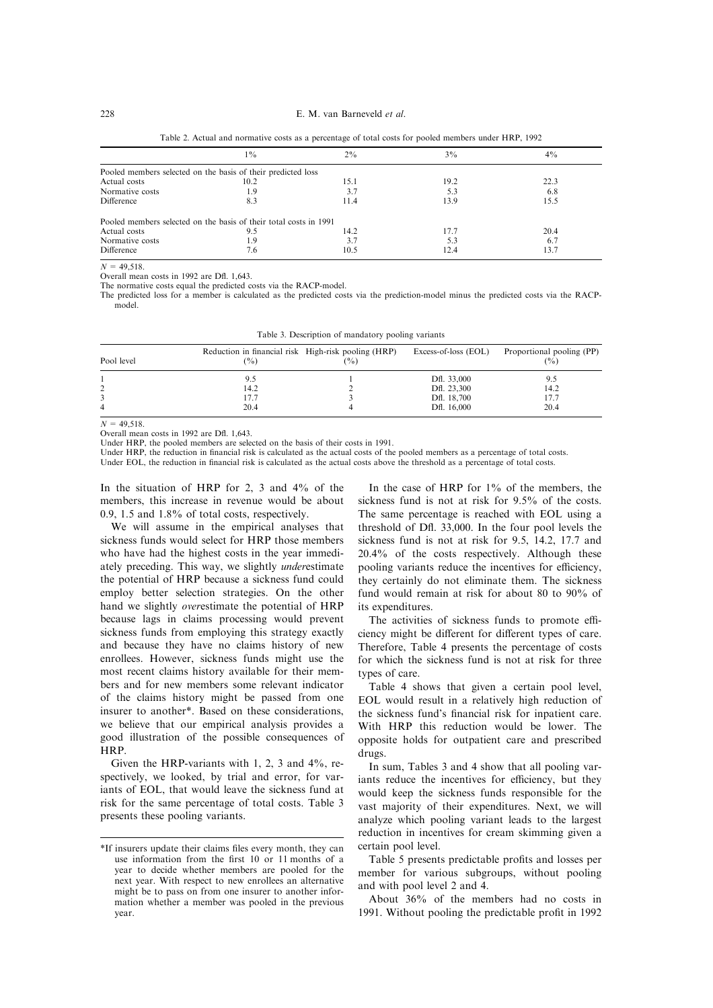|                   | $1\%$                                                             | $2\%$ | $3\%$ | $4\%$ |
|-------------------|-------------------------------------------------------------------|-------|-------|-------|
|                   | Pooled members selected on the basis of their predicted loss      |       |       |       |
| Actual costs      | 10.2                                                              | 15.1  | 19.2  | 22.3  |
| Normative costs   | 1.9                                                               | 3.7   | 5.3   | 6.8   |
| Difference        | 8.3                                                               | 11.4  | 13.9  | 15.5  |
|                   | Pooled members selected on the basis of their total costs in 1991 |       |       |       |
| Actual costs      | 9.5                                                               | 14.2  | 17.7  | 20.4  |
| Normative costs   | 1.9                                                               | 3.7   | 5.3   | 6.7   |
| <b>Difference</b> | 7.6                                                               | 10.5  | 2.4   | 13.7  |

Table 2. Actual and normative costs as a percentage of total costs for pooled members under HRP, 1992

 $N = 49,518$ .

Overall mean costs in 1992 are Dfl. 1,643.

The normative costs equal the predicted costs via the RACP-model.

The predicted loss for a member is calculated as the predicted costs via the prediction-model minus the predicted costs via the RACPmodel.

| Table 3. Description of mandatory pooling variants |  |  |
|----------------------------------------------------|--|--|
|                                                    |  |  |

| Pool level     | Reduction in financial risk High-risk pooling (HRP)<br>$(\%)$ | $\binom{0}{0}$ | Excess-of-loss (EOL) | Proportional pooling (PP)<br>(0, 0) |
|----------------|---------------------------------------------------------------|----------------|----------------------|-------------------------------------|
|                | 9.5                                                           |                | Dfl. 33,000          | 9.5                                 |
|                | 14.2                                                          |                | Dfl. 23,300          | 14.2                                |
|                | 17.7                                                          |                | Dfl. 18,700          | 17.7                                |
| $\overline{4}$ | 20.4                                                          |                | Dfl. 16,000          | 20.4                                |

 $N = 49,518$ 

Overall mean costs in 1992 are Dfl. 1,643.

Under HRP, the pooled members are selected on the basis of their costs in 1991.

Under HRP, the reduction in financial risk is calculated as the actual costs of the pooled members as a percentage of total costs.

Under EOL, the reduction in financial risk is calculated as the actual costs above the threshold as a percentage of total costs.

In the situation of HRP for 2, 3 and 4% of the members, this increase in revenue would be about 0.9, 1.5 and 1.8% of total costs, respectively.

We will assume in the empirical analyses that sickness funds would select for HRP those members who have had the highest costs in the year immediately preceding. This way, we slightly underestimate the potential of HRP because a sickness fund could employ better selection strategies. On the other hand we slightly overestimate the potential of HRP because lags in claims processing would prevent sickness funds from employing this strategy exactly and because they have no claims history of new enrollees. However, sickness funds might use the most recent claims history available for their members and for new members some relevant indicator of the claims history might be passed from one insurer to another\*. Based on these considerations, we believe that our empirical analysis provides a good illustration of the possible consequences of HRP.

Given the HRP-variants with 1, 2, 3 and 4%, respectively, we looked, by trial and error, for variants of EOL, that would leave the sickness fund at risk for the same percentage of total costs. Table 3 presents these pooling variants.

In the case of HRP for 1% of the members, the sickness fund is not at risk for 9.5% of the costs. The same percentage is reached with EOL using a threshold of  $Df. 33,000$ . In the four pool levels the sickness fund is not at risk for 9.5, 14.2, 17.7 and 20.4% of the costs respectively. Although these pooling variants reduce the incentives for efficiency, they certainly do not eliminate them. The sickness fund would remain at risk for about 80 to 90% of its expenditures.

The activities of sickness funds to promote efficiency might be different for different types of care. Therefore, Table 4 presents the percentage of costs for which the sickness fund is not at risk for three types of care.

Table 4 shows that given a certain pool level, EOL would result in a relatively high reduction of the sickness fund's financial risk for inpatient care. With HRP this reduction would be lower. The opposite holds for outpatient care and prescribed drugs.

In sum, Tables 3 and 4 show that all pooling variants reduce the incentives for efficiency, but they would keep the sickness funds responsible for the vast majority of their expenditures. Next, we will analyze which pooling variant leads to the largest reduction in incentives for cream skimming given a certain pool level.

Table 5 presents predictable profits and losses per member for various subgroups, without pooling and with pool level 2 and 4.

About 36% of the members had no costs in 1991. Without pooling the predictable profit in 1992

<sup>\*</sup>If insurers update their claims ®les every month, they can use information from the first 10 or 11 months of a year to decide whether members are pooled for the next year. With respect to new enrollees an alternative might be to pass on from one insurer to another information whether a member was pooled in the previous year.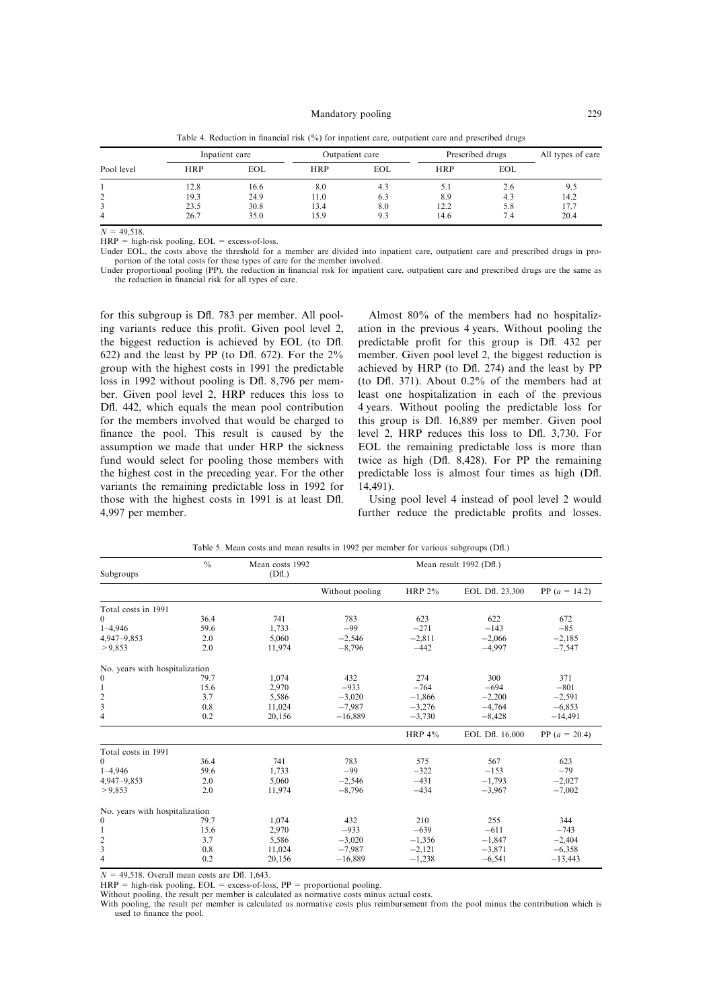|                |            | Inpatient care | Table 4. Reduction in financial risk $(\%$ ) for inpatient care, outpatient care and prescribed drugs<br>Outpatient care |            | Prescribed drugs |            | All types of care |
|----------------|------------|----------------|--------------------------------------------------------------------------------------------------------------------------|------------|------------------|------------|-------------------|
| Pool level     | <b>HRP</b> | EOL            | <b>HRP</b>                                                                                                               | <b>EOL</b> | <b>HRP</b>       | <b>EOL</b> |                   |
|                | 12.8       | 16.6           | 8.0                                                                                                                      | 4.3        | 5.1              | 2.6        | 9.5               |
|                | 19.3       | 24.9           | 11.0                                                                                                                     | 6.3        | 8.9              | 4.3        | 14.2              |
|                | 23.5       | 30.8           | 13.4                                                                                                                     | 8.0        | 12.2             | 5.8        | 17.7              |
| $\overline{4}$ | 26.7       | 35.0           | 15.9                                                                                                                     | 9.3        | 14.6             | 7.4        | 20.4              |

Table 4. Reduction in financial risk (%) for inpatient care, outpatient care and prescribed drugs

 $N = 49,518$ .

 $HRP =$  high-risk pooling,  $EOL =$  excess-of-loss.

Under EOL, the costs above the threshold for a member are divided into inpatient care, outpatient care and prescribed drugs in proportion of the total costs for these types of care for the member involved.

Under proportional pooling (PP), the reduction in financial risk for inpatient care, outpatient care and prescribed drugs are the same as the reduction in financial risk for all types of care.

for this subgroup is Dfl. 783 per member. All pooling variants reduce this profit. Given pool level 2, the biggest reduction is achieved by EOL (to Dfl. 622) and the least by PP (to Dfl. 672). For the  $2\%$ group with the highest costs in 1991 the predictable loss in 1992 without pooling is Dfl. 8,796 per member. Given pool level 2, HRP reduces this loss to Dfl. 442, which equals the mean pool contribution for the members involved that would be charged to finance the pool. This result is caused by the assumption we made that under HRP the sickness fund would select for pooling those members with the highest cost in the preceding year. For the other variants the remaining predictable loss in 1992 for those with the highest costs in 1991 is at least Dfl. 4,997 per member.

Almost 80% of the members had no hospitalization in the previous 4 years. Without pooling the predictable profit for this group is Dfl. 432 per member. Given pool level 2, the biggest reduction is achieved by  $HRP$  (to  $Dfl. 274$ ) and the least by  $PP$ (to Dfl. 371). About  $0.2\%$  of the members had at least one hospitalization in each of the previous 4 years. Without pooling the predictable loss for this group is Dfl. 16,889 per member. Given pool level 2, HRP reduces this loss to  $Df.$  3,730. For EOL the remaining predictable loss is more than twice as high (Dfl. 8,428). For PP the remaining predictable loss is almost four times as high (Dfl. 14,491).

Using pool level 4 instead of pool level 2 would further reduce the predictable profits and losses.

| Subgroups                      | $\frac{0}{0}$ | Mean costs 1992<br>$(Df.$ ) | Mean result 1992 (Dfl.) |               |                 |                 |
|--------------------------------|---------------|-----------------------------|-------------------------|---------------|-----------------|-----------------|
|                                |               |                             | Without pooling         | <b>HRP 2%</b> | EOL Dfl. 23,300 | PP $(a = 14.2)$ |
| Total costs in 1991            |               |                             |                         |               |                 |                 |
| $\Omega$                       | 36.4          | 741                         | 783                     | 623           | 622             | 672             |
| $1 - 4,946$                    | 59.6          | 1,733                       | $-99$                   | $-271$        | $-143$          | $-85$           |
| 4,947-9,853                    | 2.0           | 5,060                       | $-2,546$                | $-2,811$      | $-2,066$        | $-2,185$        |
| >9,853                         | 2.0           | 11,974                      | $-8,796$                | $-442$        | $-4,997$        | $-7,547$        |
| No. years with hospitalization |               |                             |                         |               |                 |                 |
| $\boldsymbol{0}$               | 79.7          | 1,074                       | 432                     | 274           | 300             | 371             |
| $\mathbf{1}$                   | 15.6          | 2,970                       | $-933$                  | $-764$        | $-694$          | $-801$          |
| $\overline{c}$                 | 3.7           | 5,586                       | $-3,020$                | $-1,866$      | $-2,200$        | $-2,591$        |
| 3                              | 0.8           | 11,024                      | $-7,987$                | $-3,276$      | $-4,764$        | $-6,853$        |
| $\overline{4}$                 | 0.2           | 20,156                      | $-16,889$               | $-3,730$      | $-8,428$        | $-14,491$       |
|                                |               |                             |                         | HRP $4\%$     | EOL Dfl. 16,000 | PP $(a = 20.4)$ |
| Total costs in 1991            |               |                             |                         |               |                 |                 |
| $\overline{0}$                 | 36.4          | 741                         | 783                     | 575           | 567             | 623             |
| $1 - 4,946$                    | 59.6          | 1,733                       | $-99$                   | $-322$        | $-153$          | $-79$           |
| 4,947-9,853                    | 2.0           | 5,060                       | $-2,546$                | $-431$        | $-1.793$        | $-2,027$        |
| >9,853                         | 2.0           | 11,974                      | $-8,796$                | $-434$        | $-3,967$        | $-7,002$        |
| No. years with hospitalization |               |                             |                         |               |                 |                 |
| $\boldsymbol{0}$               | 79.7          | 1,074                       | 432                     | 210           | 255             | 344             |
| 1                              | 15.6          | 2,970                       | $-933$                  | $-639$        | $-611$          | $-743$          |
| $\overline{\mathbf{c}}$        | 3.7           | 5,586                       | $-3,020$                | $-1,356$      | $-1,847$        | $-2,404$        |
| 3                              | 0.8           | 11,024                      | $-7,987$                | $-2,121$      | $-3,871$        | $-6,358$        |
| $\overline{4}$                 | 0.2           | 20,156                      | $-16,889$               | $-1,238$      | $-6,541$        | $-13,443$       |

Table 5. Mean costs and mean results in 1992 per member for various subgroups (Dfl.)

 $N = 49,518$ . Overall mean costs are Df. 1,643.

 $HP =$ high-risk pooling, EOL = excess-of-loss, PP = proportional pooling.

Without pooling, the result per member is calculated as normative costs minus actual costs.

With pooling, the result per member is calculated as normative costs plus reimbursement from the pool minus the contribution which is used to finance the pool.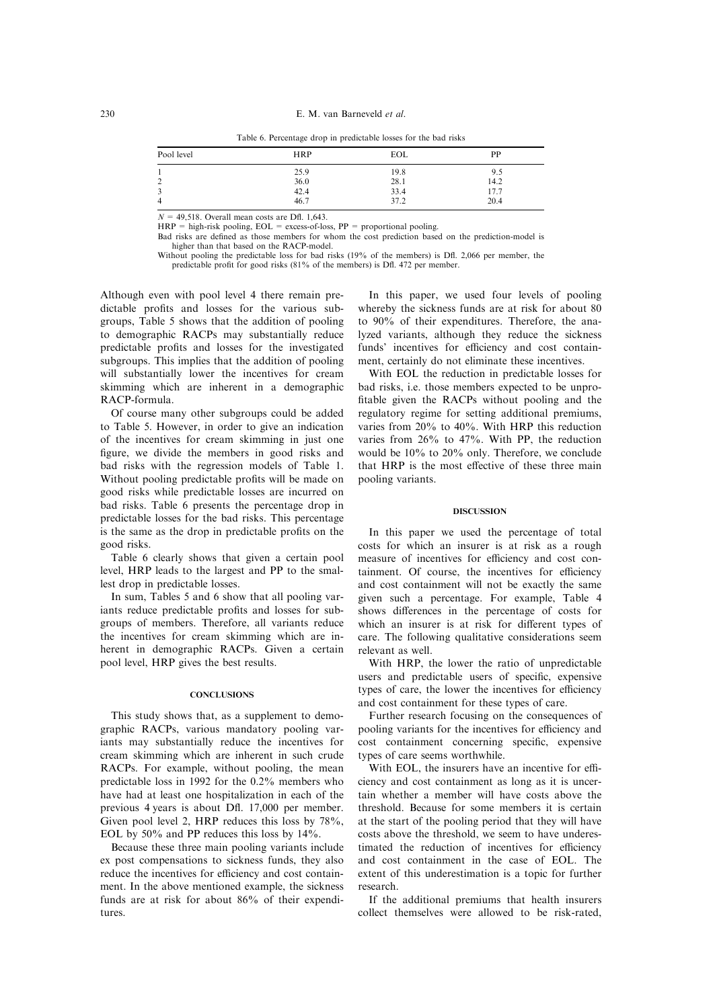| Pool level        | <b>HRP</b> | <b>EOL</b> | PP   |
|-------------------|------------|------------|------|
|                   | 25.9       | 19.8       | 9.5  |
| <sup>1</sup><br>∸ | 36.0       | 28.1       | 14.2 |
| 3                 | 42.4       | 33.4       | 17.7 |
| $\overline{4}$    | 46.7       | 37.2       | 20.4 |

Table 6. Percentage drop in predictable losses for the bad risks

 $N = 49,518$  Overall mean costs are Dfl 1,643.

 $HRP =$  high-risk pooling,  $EOL =$  excess-of-loss,  $PP =$  proportional pooling.

Bad risks are defined as those members for whom the cost prediction based on the prediction-model is higher than that based on the RACP-model.

Without pooling the predictable loss for bad risks (19% of the members) is Dfl. 2,066 per member, the predictable profit for good risks  $(81\%$  of the members) is Dfl. 472 per member.

Although even with pool level 4 there remain predictable profits and losses for the various subgroups, Table 5 shows that the addition of pooling to demographic RACPs may substantially reduce predictable profits and losses for the investigated subgroups. This implies that the addition of pooling will substantially lower the incentives for cream skimming which are inherent in a demographic RACP-formula.

Of course many other subgroups could be added to Table 5. However, in order to give an indication of the incentives for cream skimming in just one figure, we divide the members in good risks and bad risks with the regression models of Table 1. Without pooling predictable profits will be made on good risks while predictable losses are incurred on bad risks. Table 6 presents the percentage drop in predictable losses for the bad risks. This percentage is the same as the drop in predictable profits on the good risks.

Table 6 clearly shows that given a certain pool level, HRP leads to the largest and PP to the smallest drop in predictable losses.

In sum, Tables 5 and 6 show that all pooling variants reduce predictable profits and losses for subgroups of members. Therefore, all variants reduce the incentives for cream skimming which are inherent in demographic RACPs. Given a certain pool level, HRP gives the best results.

#### **CONCLUSIONS**

This study shows that, as a supplement to demographic RACPs, various mandatory pooling variants may substantially reduce the incentives for cream skimming which are inherent in such crude RACPs. For example, without pooling, the mean predictable loss in 1992 for the 0.2% members who have had at least one hospitalization in each of the previous 4 years is about Dfl. 17,000 per member. Given pool level 2, HRP reduces this loss by 78%, EOL by 50% and PP reduces this loss by 14%.

Because these three main pooling variants include ex post compensations to sickness funds, they also reduce the incentives for efficiency and cost containment. In the above mentioned example, the sickness funds are at risk for about 86% of their expenditures.

In this paper, we used four levels of pooling whereby the sickness funds are at risk for about 80 to 90% of their expenditures. Therefore, the analyzed variants, although they reduce the sickness funds' incentives for efficiency and cost containment, certainly do not eliminate these incentives.

With EOL the reduction in predictable losses for bad risks, i.e. those members expected to be unpro fitable given the RACPs without pooling and the regulatory regime for setting additional premiums, varies from 20% to 40%. With HRP this reduction varies from 26% to 47%. With PP, the reduction would be 10% to 20% only. Therefore, we conclude that HRP is the most effective of these three main pooling variants.

#### DISCUSSION

In this paper we used the percentage of total costs for which an insurer is at risk as a rough measure of incentives for efficiency and cost containment. Of course, the incentives for efficiency and cost containment will not be exactly the same given such a percentage. For example, Table 4 shows differences in the percentage of costs for which an insurer is at risk for different types of care. The following qualitative considerations seem relevant as well.

With HRP, the lower the ratio of unpredictable users and predictable users of specific, expensive types of care, the lower the incentives for efficiency and cost containment for these types of care.

Further research focusing on the consequences of pooling variants for the incentives for efficiency and cost containment concerning specific, expensive types of care seems worthwhile.

With EOL, the insurers have an incentive for efficiency and cost containment as long as it is uncertain whether a member will have costs above the threshold. Because for some members it is certain at the start of the pooling period that they will have costs above the threshold, we seem to have underestimated the reduction of incentives for efficiency and cost containment in the case of EOL. The extent of this underestimation is a topic for further research.

If the additional premiums that health insurers collect themselves were allowed to be risk-rated,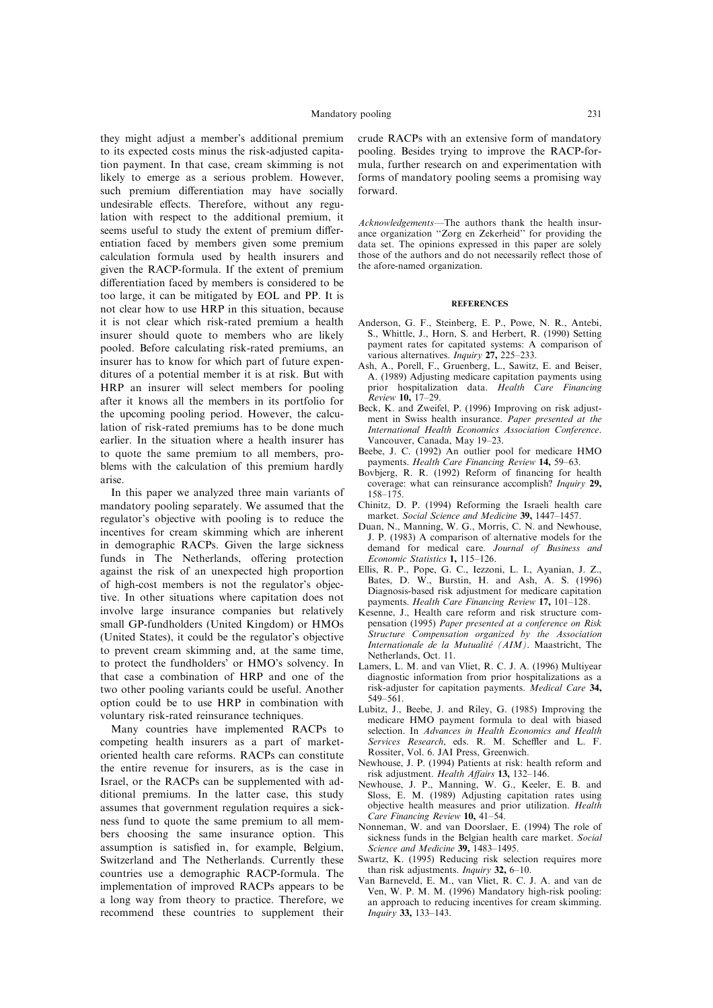they might adjust a member's additional premium to its expected costs minus the risk-adjusted capitation payment. In that case, cream skimming is not likely to emerge as a serious problem. However, such premium differentiation may have socially undesirable effects. Therefore, without any regulation with respect to the additional premium, it seems useful to study the extent of premium differentiation faced by members given some premium calculation formula used by health insurers and given the RACP-formula. If the extent of premium differentiation faced by members is considered to be too large, it can be mitigated by EOL and PP. It is not clear how to use HRP in this situation, because it is not clear which risk-rated premium a health insurer should quote to members who are likely pooled. Before calculating risk-rated premiums, an insurer has to know for which part of future expenditures of a potential member it is at risk. But with HRP an insurer will select members for pooling after it knows all the members in its portfolio for the upcoming pooling period. However, the calculation of risk-rated premiums has to be done much earlier. In the situation where a health insurer has to quote the same premium to all members, problems with the calculation of this premium hardly arise.

In this paper we analyzed three main variants of mandatory pooling separately. We assumed that the regulator's objective with pooling is to reduce the incentives for cream skimming which are inherent in demographic RACPs. Given the large sickness funds in The Netherlands, offering protection against the risk of an unexpected high proportion of high-cost members is not the regulator's objective. In other situations where capitation does not involve large insurance companies but relatively small GP-fundholders (United Kingdom) or HMOs (United States), it could be the regulator's objective to prevent cream skimming and, at the same time, to protect the fundholders' or HMO's solvency. In that case a combination of HRP and one of the two other pooling variants could be useful. Another option could be to use HRP in combination with voluntary risk-rated reinsurance techniques.

Many countries have implemented RACPs to competing health insurers as a part of marketoriented health care reforms. RACPs can constitute the entire revenue for insurers, as is the case in Israel, or the RACPs can be supplemented with additional premiums. In the latter case, this study assumes that government regulation requires a sickness fund to quote the same premium to all members choosing the same insurance option. This assumption is satisfied in, for example, Belgium, Switzerland and The Netherlands. Currently these countries use a demographic RACP-formula. The implementation of improved RACPs appears to be a long way from theory to practice. Therefore, we recommend these countries to supplement their crude RACPs with an extensive form of mandatory pooling. Besides trying to improve the RACP-formula, further research on and experimentation with forms of mandatory pooling seems a promising way forward.

Acknowledgements—The authors thank the health insurance organization "Zorg en Zekerheid" for providing the data set. The opinions expressed in this paper are solely those of the authors and do not necessarily reflect those of the afore-named organization.

### **REFERENCES**

- Anderson, G. F., Steinberg, E. P., Powe, N. R., Antebi, S., Whittle, J., Horn, S. and Herbert, R. (1990) Setting payment rates for capitated systems: A comparison of various alternatives. Inquiry 27, 225-233.
- Ash, A., Porell, F., Gruenberg, L., Sawitz, E. and Beiser, A. (1989) Adjusting medicare capitation payments using prior hospitalization data. Health Care Financing  $R$ eview 10. 17–29.
- Beck, K. and Zweifel, P. (1996) Improving on risk adjustment in Swiss health insurance. Paper presented at the International Health Economics Association Conference. Vancouver, Canada, May 19-23.
- Beebe, J. C. (1992) An outlier pool for medicare HMO payments. Health Care Financing Review 14, 59-63.
- Bovbjerg, R. R. (1992) Reform of financing for health coverage: what can reinsurance accomplish? Inquiry 29, 158±175.
- Chinitz, D. P. (1994) Reforming the Israeli health care market. Social Science and Medicine 39, 1447-1457.
- Duan, N., Manning, W. G., Morris, C. N. and Newhouse, J. P. (1983) A comparison of alternative models for the demand for medical care. Journal of Business and Economic Statistics 1, 115-126.
- Ellis, R. P., Pope, G. C., Iezzoni, L. I., Ayanian, J. Z., Bates, D. W., Burstin, H. and Ash, A. S. (1996) Diagnosis-based risk adjustment for medicare capitation payments. Health Care Financing Review 17, 101-128.
- Kesenne, J., Health care reform and risk structure compensation (1995) Paper presented at a conference on Risk Structure Compensation organized by the Association Internationale de la Mutualité  $(AIM)$ . Maastricht, The Netherlands, Oct. 11.
- Lamers, L. M. and van Vliet, R. C. J. A. (1996) Multiyear diagnostic information from prior hospitalizations as a risk-adjuster for capitation payments. Medical Care 34, 549±561.
- Lubitz, J., Beebe, J. and Riley, G. (1985) Improving the medicare HMO payment formula to deal with biased selection. In Advances in Health Economics and Health Services Research, eds. R. M. Scheffler and L. F. Rossiter, Vol. 6. JAI Press, Greenwich.
- Newhouse, J. P. (1994) Patients at risk: health reform and risk adjustment. Health Affairs 13, 132-146.
- Newhouse, J. P., Manning, W. G., Keeler, E. B. and Sloss, E. M. (1989) Adjusting capitation rates using objective health measures and prior utilization. Health Care Financing Review 10,  $41-54$ .
- Nonneman, W. and van Doorslaer, E. (1994) The role of sickness funds in the Belgian health care market. Social Science and Medicine 39, 1483-1495.
- Swartz, K. (1995) Reducing risk selection requires more than risk adjustments. *Inquiry* 32, 6-10.
- Van Barneveld, E. M., van Vliet, R. C. J. A. and van de Ven, W. P. M. M. (1996) Mandatory high-risk pooling: an approach to reducing incentives for cream skimming.  $Inquiry$  33, 133-143.